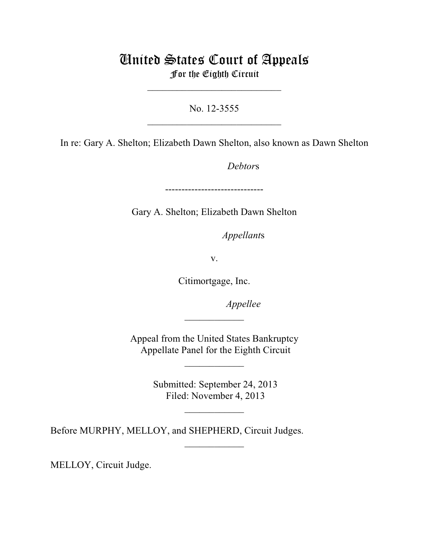## United States Court of Appeals For the Eighth Circuit

\_\_\_\_\_\_\_\_\_\_\_\_\_\_\_\_\_\_\_\_\_\_\_\_\_\_\_

No. 12-3555  $\mathcal{L}_\text{max}$  , which is a set of the set of the set of the set of the set of the set of the set of the set of the set of the set of the set of the set of the set of the set of the set of the set of the set of the set of

In re: Gary A. Shelton; Elizabeth Dawn Shelton, also known as Dawn Shelton

Debtors

------------------------------

Gary A. Shelton; Elizabeth Dawn Shelton

*Appellants* 

v.

Citimortgage, Inc.

*Appellee* 

Appeal from the United States Bankruptcy Appellate Panel for the Eighth Circuit

 $\overline{\phantom{a}}$  , where  $\overline{\phantom{a}}$ 

 $\frac{1}{2}$ 

 Submitted: September 24, 2013 Filed: November 4, 2013

 $\frac{1}{2}$ 

 $\overline{\phantom{a}}$  , where  $\overline{\phantom{a}}$ 

Before MURPHY, MELLOY, and SHEPHERD, Circuit Judges.

MELLOY, Circuit Judge.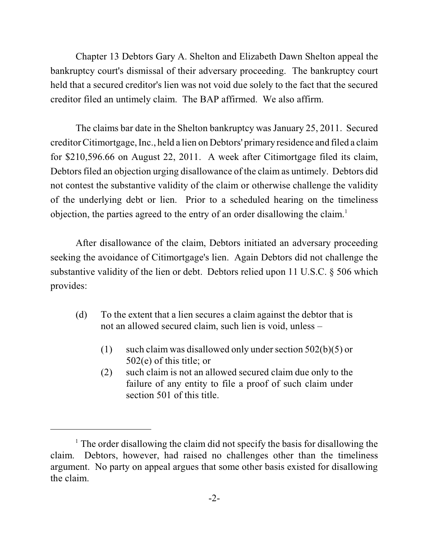Chapter 13 Debtors Gary A. Shelton and Elizabeth Dawn Shelton appeal the bankruptcy court's dismissal of their adversary proceeding. The bankruptcy court held that a secured creditor's lien was not void due solely to the fact that the secured creditor filed an untimely claim. The BAP affirmed. We also affirm.

The claims bar date in the Shelton bankruptcy was January 25, 2011. Secured creditorCitimortgage, Inc., held a lien on Debtors' primary residence and filed a claim for \$210,596.66 on August 22, 2011. A week after Citimortgage filed its claim, Debtors filed an objection urging disallowance of the claim as untimely. Debtors did not contest the substantive validity of the claim or otherwise challenge the validity of the underlying debt or lien. Prior to a scheduled hearing on the timeliness objection, the parties agreed to the entry of an order disallowing the claim. 1

After disallowance of the claim, Debtors initiated an adversary proceeding seeking the avoidance of Citimortgage's lien. Again Debtors did not challenge the substantive validity of the lien or debt. Debtors relied upon 11 U.S.C. § 506 which provides:

- (d) To the extent that a lien secures a claim against the debtor that is not an allowed secured claim, such lien is void, unless –
	- (1) such claim was disallowed only under section  $502(b)(5)$  or 502(e) of this title; or
	- (2) such claim is not an allowed secured claim due only to the failure of any entity to file a proof of such claim under section 501 of this title.

 $1$  The order disallowing the claim did not specify the basis for disallowing the claim. Debtors, however, had raised no challenges other than the timeliness argument. No party on appeal argues that some other basis existed for disallowing the claim.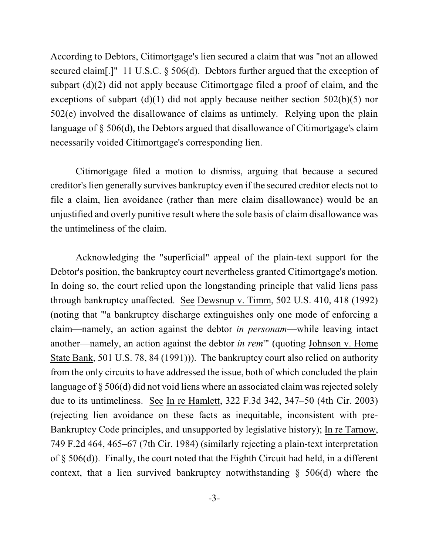According to Debtors, Citimortgage's lien secured a claim that was "not an allowed secured claim[.]" 11 U.S.C. § 506(d). Debtors further argued that the exception of subpart (d)(2) did not apply because Citimortgage filed a proof of claim, and the exceptions of subpart  $(d)(1)$  did not apply because neither section 502(b)(5) nor 502(e) involved the disallowance of claims as untimely. Relying upon the plain language of § 506(d), the Debtors argued that disallowance of Citimortgage's claim necessarily voided Citimortgage's corresponding lien.

Citimortgage filed a motion to dismiss, arguing that because a secured creditor's lien generally survives bankruptcy even if the secured creditor elects not to file a claim, lien avoidance (rather than mere claim disallowance) would be an unjustified and overly punitive result where the sole basis of claim disallowance was the untimeliness of the claim.

Acknowledging the "superficial" appeal of the plain-text support for the Debtor's position, the bankruptcy court nevertheless granted Citimortgage's motion. In doing so, the court relied upon the longstanding principle that valid liens pass through bankruptcy unaffected. See Dewsnup v. Timm, 502 U.S. 410, 418 (1992) (noting that "'a bankruptcy discharge extinguishes only one mode of enforcing a claim—namely, an action against the debtor *in personam*—while leaving intact another—namely, an action against the debtor *in rem*'" (quoting Johnson v. Home State Bank, 501 U.S. 78, 84 (1991))). The bankruptcy court also relied on authority from the only circuits to have addressed the issue, both of which concluded the plain language of  $\S 506(d)$  did not void liens where an associated claim was rejected solely due to its untimeliness. See In re Hamlett, 322 F.3d 342, 347–50 (4th Cir. 2003) (rejecting lien avoidance on these facts as inequitable, inconsistent with pre-Bankruptcy Code principles, and unsupported by legislative history); In re Tarnow, 749 F.2d 464, 465–67 (7th Cir. 1984) (similarly rejecting a plain-text interpretation of § 506(d)). Finally, the court noted that the Eighth Circuit had held, in a different context, that a lien survived bankruptcy notwithstanding § 506(d) where the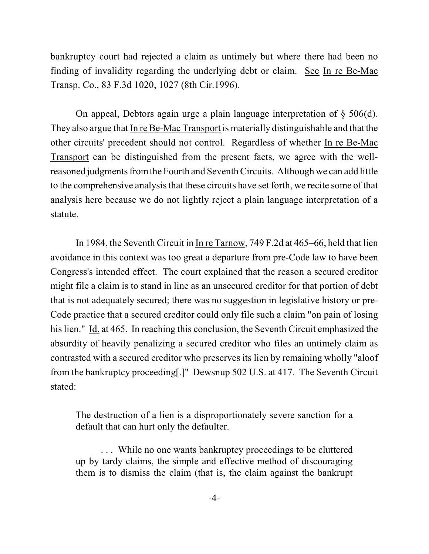bankruptcy court had rejected a claim as untimely but where there had been no finding of invalidity regarding the underlying debt or claim. See In re Be-Mac Transp. Co., 83 F.3d 1020, 1027 (8th Cir.1996).

On appeal, Debtors again urge a plain language interpretation of § 506(d). They also argue that In re Be-Mac Transport is materially distinguishable and that the other circuits' precedent should not control. Regardless of whether In re Be-Mac Transport can be distinguished from the present facts, we agree with the wellreasoned judgments from the Fourth and Seventh Circuits. Although we can add little to the comprehensive analysis that these circuits have set forth, we recite some of that analysis here because we do not lightly reject a plain language interpretation of a statute.

In 1984, the Seventh Circuit in In re Tarnow, 749 F.2d at 465–66, held that lien avoidance in this context was too great a departure from pre-Code law to have been Congress's intended effect. The court explained that the reason a secured creditor might file a claim is to stand in line as an unsecured creditor for that portion of debt that is not adequately secured; there was no suggestion in legislative history or pre-Code practice that a secured creditor could only file such a claim "on pain of losing his lien." Id. at 465. In reaching this conclusion, the Seventh Circuit emphasized the absurdity of heavily penalizing a secured creditor who files an untimely claim as contrasted with a secured creditor who preserves its lien by remaining wholly "aloof from the bankruptcy proceeding[.]" Dewsnup 502 U.S. at 417. The Seventh Circuit stated:

The destruction of a lien is a disproportionately severe sanction for a default that can hurt only the defaulter.

. . . While no one wants bankruptcy proceedings to be cluttered up by tardy claims, the simple and effective method of discouraging them is to dismiss the claim (that is, the claim against the bankrupt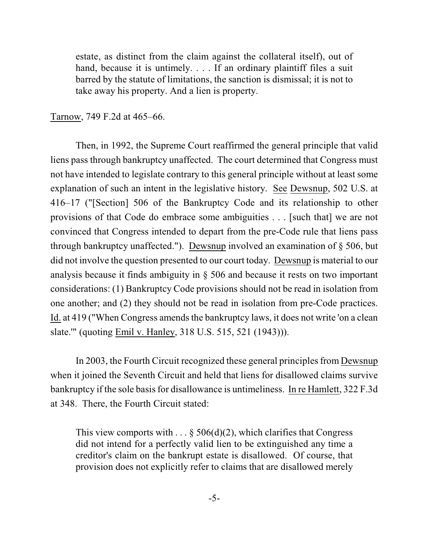estate, as distinct from the claim against the collateral itself), out of hand, because it is untimely. . . . If an ordinary plaintiff files a suit barred by the statute of limitations, the sanction is dismissal; it is not to take away his property. And a lien is property.

## Tarnow, 749 F.2d at 465–66.

Then, in 1992, the Supreme Court reaffirmed the general principle that valid liens pass through bankruptcy unaffected. The court determined that Congress must not have intended to legislate contrary to this general principle without at least some explanation of such an intent in the legislative history. See Dewsnup, 502 U.S. at 416–17 ("[Section] 506 of the Bankruptcy Code and its relationship to other provisions of that Code do embrace some ambiguities . . . [such that] we are not convinced that Congress intended to depart from the pre-Code rule that liens pass through bankruptcy unaffected."). Dewsnup involved an examination of § 506, but did not involve the question presented to our court today. Dewsnup is material to our analysis because it finds ambiguity in § 506 and because it rests on two important considerations: (1) Bankruptcy Code provisions should not be read in isolation from one another; and (2) they should not be read in isolation from pre-Code practices. Id. at 419 ("When Congress amends the bankruptcy laws, it does not write 'on a clean slate.'" (quoting Emil v. Hanley, 318 U.S. 515, 521 (1943))).

In 2003, the Fourth Circuit recognized these general principles from Dewsnup when it joined the Seventh Circuit and held that liens for disallowed claims survive bankruptcy if the sole basis for disallowance is untimeliness. In re Hamlett, 322 F.3d at 348. There, the Fourth Circuit stated:

This view comports with . . . § 506(d)(2), which clarifies that Congress did not intend for a perfectly valid lien to be extinguished any time a creditor's claim on the bankrupt estate is disallowed. Of course, that provision does not explicitly refer to claims that are disallowed merely